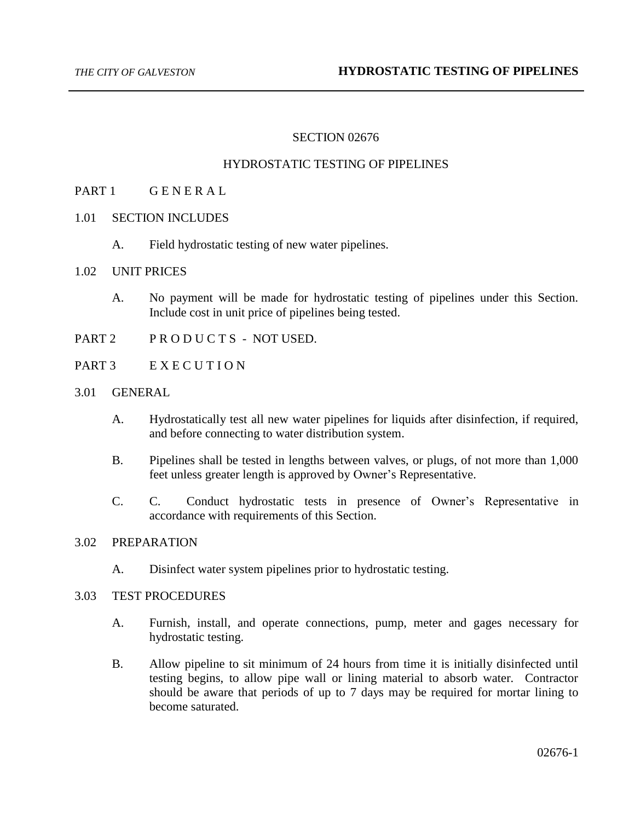# SECTION 02676

#### HYDROSTATIC TESTING OF PIPELINES

# PART 1 GENERAL

- 1.01 SECTION INCLUDES
	- A. Field hydrostatic testing of new water pipelines.

#### 1.02 UNIT PRICES

- A. No payment will be made for hydrostatic testing of pipelines under this Section. Include cost in unit price of pipelines being tested.
- PART 2 PRODUCTS NOT USED.
- PART 3 EXECUTION

#### 3.01 GENERAL

- A. Hydrostatically test all new water pipelines for liquids after disinfection, if required, and before connecting to water distribution system.
- B. Pipelines shall be tested in lengths between valves, or plugs, of not more than 1,000 feet unless greater length is approved by Owner's Representative.
- C. C. Conduct hydrostatic tests in presence of Owner's Representative in accordance with requirements of this Section.

#### 3.02 PREPARATION

A. Disinfect water system pipelines prior to hydrostatic testing.

# 3.03 TEST PROCEDURES

- A. Furnish, install, and operate connections, pump, meter and gages necessary for hydrostatic testing.
- B. Allow pipeline to sit minimum of 24 hours from time it is initially disinfected until testing begins, to allow pipe wall or lining material to absorb water. Contractor should be aware that periods of up to 7 days may be required for mortar lining to become saturated.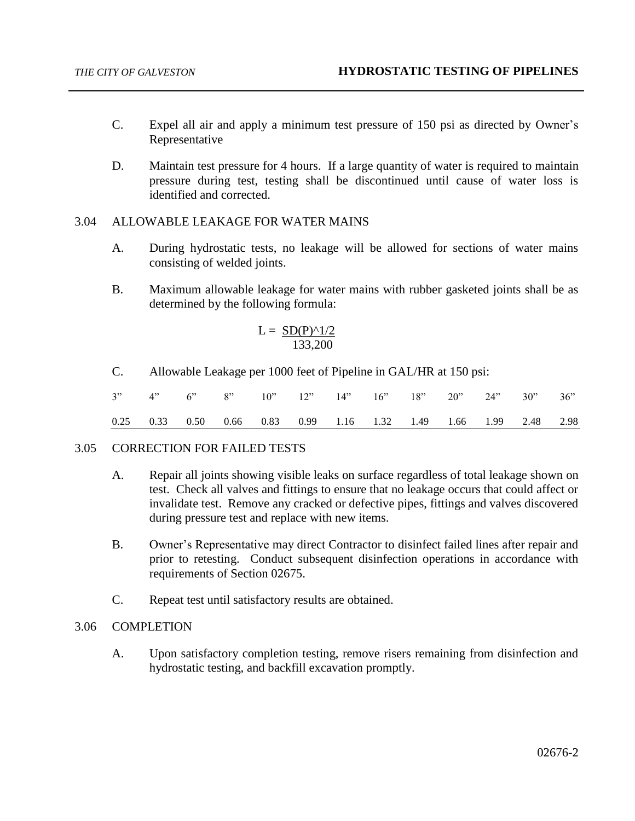- C. Expel all air and apply a minimum test pressure of 150 psi as directed by Owner's Representative
- D. Maintain test pressure for 4 hours. If a large quantity of water is required to maintain pressure during test, testing shall be discontinued until cause of water loss is identified and corrected.

#### 3.04 ALLOWABLE LEAKAGE FOR WATER MAINS

- A. During hydrostatic tests, no leakage will be allowed for sections of water mains consisting of welded joints.
- B. Maximum allowable leakage for water mains with rubber gasketed joints shall be as determined by the following formula:

$$
L = \frac{\text{SD}(P)^{\wedge}1/2}{133,200}
$$

C. Allowable Leakage per 1000 feet of Pipeline in GAL/HR at 150 psi:

|  |  | 3" 4" 6" 8" 10" 12" 14" 16" 18" 20" 24" 30" 36"                  |  |  |  |  |
|--|--|------------------------------------------------------------------|--|--|--|--|
|  |  | 0.25 0.33 0.50 0.66 0.83 0.99 1.16 1.32 1.49 1.66 1.99 2.48 2.98 |  |  |  |  |

#### 3.05 CORRECTION FOR FAILED TESTS

- A. Repair all joints showing visible leaks on surface regardless of total leakage shown on test. Check all valves and fittings to ensure that no leakage occurs that could affect or invalidate test. Remove any cracked or defective pipes, fittings and valves discovered during pressure test and replace with new items.
- B. Owner's Representative may direct Contractor to disinfect failed lines after repair and prior to retesting. Conduct subsequent disinfection operations in accordance with requirements of Section 02675.
- C. Repeat test until satisfactory results are obtained.

### 3.06 COMPLETION

A. Upon satisfactory completion testing, remove risers remaining from disinfection and hydrostatic testing, and backfill excavation promptly.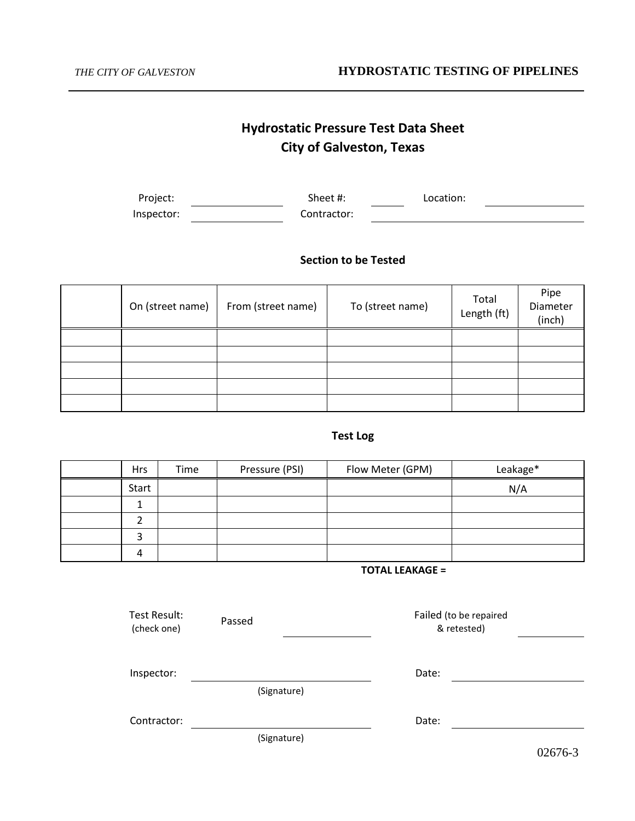# **Hydrostatic Pressure Test Data Sheet City of Galveston, Texas**

| Project:   | Sheet #: |             | Location: |  |
|------------|----------|-------------|-----------|--|
| Inspector: |          | Contractor: |           |  |

# **Section to be Tested**

| On (street name) | From (street name) | To (street name) | Total<br>Length (ft) | Pipe<br>Diameter<br>(inch) |
|------------------|--------------------|------------------|----------------------|----------------------------|
|                  |                    |                  |                      |                            |
|                  |                    |                  |                      |                            |
|                  |                    |                  |                      |                            |
|                  |                    |                  |                      |                            |
|                  |                    |                  |                      |                            |

# **Test Log**

| <b>Hrs</b> | Time | Pressure (PSI) | Flow Meter (GPM) | Leakage* |
|------------|------|----------------|------------------|----------|
| Start      |      |                |                  | N/A      |
|            |      |                |                  |          |
|            |      |                |                  |          |
|            |      |                |                  |          |
|            |      |                |                  |          |

#### **TOTAL LEAKAGE =**

| Test Result:<br>(check one) | Passed      | Failed (to be repaired<br>& retested) |
|-----------------------------|-------------|---------------------------------------|
| Inspector:                  |             | Date:                                 |
| Contractor:                 | (Signature) | Date:                                 |
|                             | (Signature) |                                       |

02676-3